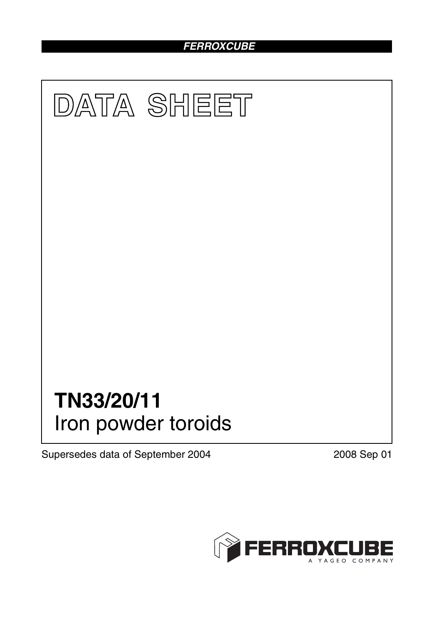# *FERROXCUBE*



Supersedes data of September 2004 2008 Sep 01

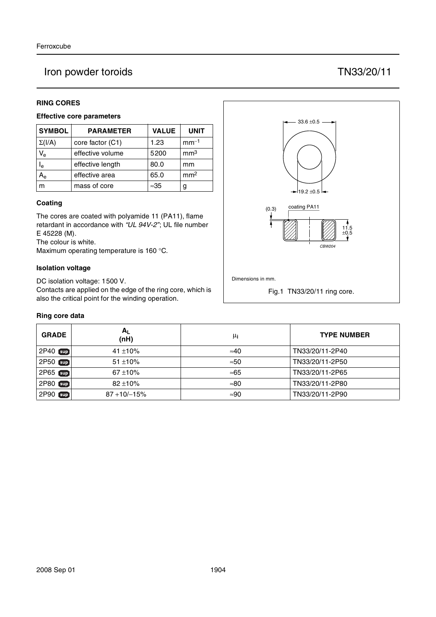## Iron powder toroids TN33/20/11

### **RING CORES**

#### **Effective core parameters**

| <b>SYMBOL</b>           | <b>PARAMETER</b> | <b>VALUE</b> | <b>UNIT</b>     |
|-------------------------|------------------|--------------|-----------------|
| $\Sigma(I/A)$           | core factor (C1) | 1.23         | $mm^{-1}$       |
| $V_{e}$                 | effective volume | 5200         | mm <sup>3</sup> |
| $\mathsf{I}_\mathsf{e}$ | effective length | 80.0         | mm              |
|                         | effective area   | 65.0         | mm <sup>2</sup> |
| m                       | mass of core     | $\approx 35$ | g               |

#### **Coating**

The cores are coated with polyamide 11 (PA11), flame retardant in accordance with *"UL 94V-2"*; UL file number E 45228 (M).

The colour is white.

Maximum operating temperature is 160 °C.

#### **Isolation voltage**

DC isolation voltage: 1500 V.

Contacts are applied on the edge of the ring core, which is also the critical point for the winding operation.

#### **Ring core data**

| <b>GRADE</b> | $A_L$<br>(nH)    | μi           | <b>TYPE NUMBER</b> |
|--------------|------------------|--------------|--------------------|
| 2P40 Sup     | 41 $\pm$ 10%     | $\approx 40$ | TN33/20/11-2P40    |
| 2P50 Sup     | $51 + 10\%$      | ≈50          | TN33/20/11-2P50    |
| 2P65 sup     | $67 + 10%$       | ≈65          | TN33/20/11-2P65    |
| 2P80 sup     | $82 + 10%$       | $\approx 80$ | TN33/20/11-2P80    |
| 2P90 sup     | $87 + 10/ - 15%$ | $\approx 90$ | TN33/20/11-2P90    |